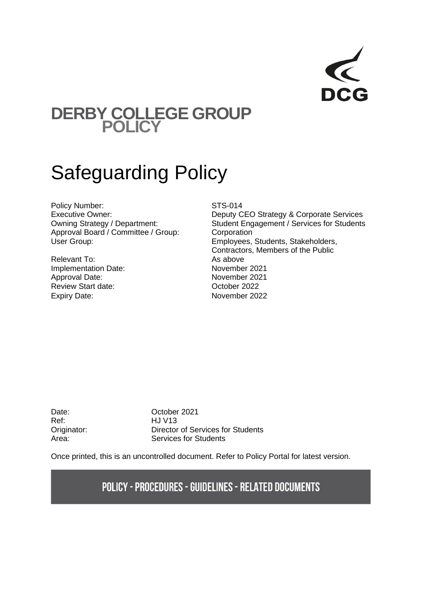

# **DERBY COLLEGE GROUP POLICY**

# Safeguarding Policy

Policy Number:<br>
Executive Owner:<br>
Executive Owner:<br>
STS-014 Approval Board / Committee / Group: Corporation User Group: Employees, Students, Stakeholders,

Relevant To: As above Implementation Date:<br>
Approval Date: November 2021<br>
November 2021 Approval Date: Review Start date: Case Controller 2022 Expiry Date: November 2022

Deputy CEO Strategy & Corporate Services Owning Strategy / Department: Student Engagement / Services for Students Contractors, Members of the Public

Ref: HJ V13

Date: Corober 2021 Originator: Director of Services for Students Area: Services for Students

Once printed, this is an uncontrolled document. Refer to Policy Portal for latest version.

# **POLICY - PROCEDURES - GUIDELINES - RELATED DOCUMENTS**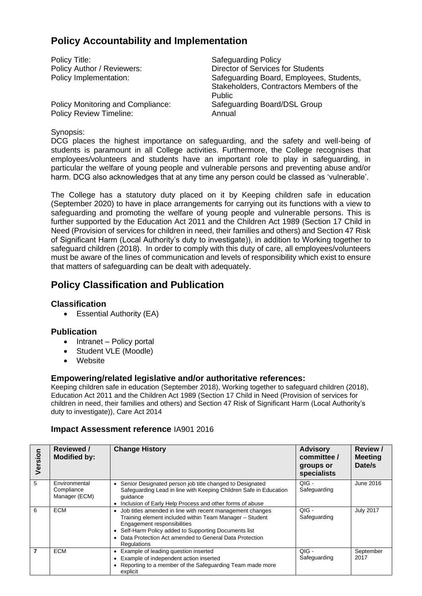## **Policy Accountability and Implementation**

| Policy Title:                     | <b>Safeguarding Policy</b>                                                                            |
|-----------------------------------|-------------------------------------------------------------------------------------------------------|
| Policy Author / Reviewers:        | Director of Services for Students                                                                     |
| Policy Implementation:            | Safeguarding Board, Employees, Students,<br>Stakeholders, Contractors Members of the<br><b>Public</b> |
| Policy Monitoring and Compliance: | Safeguarding Board/DSL Group                                                                          |
| <b>Policy Review Timeline:</b>    | Annual                                                                                                |

#### Synopsis:

DCG places the highest importance on safeguarding, and the safety and well-being of students is paramount in all College activities. Furthermore, the College recognises that employees/volunteers and students have an important role to play in safeguarding, in particular the welfare of young people and vulnerable persons and preventing abuse and/or harm. DCG also acknowledges that at any time any person could be classed as 'vulnerable'.

The College has a statutory duty placed on it by Keeping children safe in education (September 2020) to have in place arrangements for carrying out its functions with a view to safeguarding and promoting the welfare of young people and vulnerable persons. This is further supported by the Education Act 2011 and the Children Act 1989 (Section 17 Child in Need (Provision of services for children in need, their families and others) and Section 47 Risk of Significant Harm (Local Authority's duty to investigate)), in addition to Working together to safeguard children (2018). In order to comply with this duty of care, all employees/volunteers must be aware of the lines of communication and levels of responsibility which exist to ensure that matters of safeguarding can be dealt with adequately.

## **Policy Classification and Publication**

#### **Classification**

• Essential Authority (EA)

#### **Publication**

- Intranet Policy portal
- Student VLE (Moodle)
- Website

#### **Empowering/related legislative and/or authoritative references:**

Keeping children safe in education (September 2018), Working together to safeguard children (2018), Education Act 2011 and the Children Act 1989 (Section 17 Child in Need (Provision of services for children in need, their families and others) and Section 47 Risk of Significant Harm (Local Authority's duty to investigate)), Care Act 2014

#### **Impact Assessment reference** IA901 2016

| Version | Reviewed /<br><b>Modified by:</b>            | <b>Change History</b>                                                                                                                                                                                                                                                               | <b>Advisory</b><br>committee /<br>groups or<br>specialists | <b>Review /</b><br><b>Meeting</b><br>Date/s |
|---------|----------------------------------------------|-------------------------------------------------------------------------------------------------------------------------------------------------------------------------------------------------------------------------------------------------------------------------------------|------------------------------------------------------------|---------------------------------------------|
| 5       | Environmental<br>Compliance<br>Manager (ECM) | Senior Designated person job title changed to Designated<br>Safeguarding Lead in line with Keeping Children Safe in Education<br>quidance<br>Inclusion of Early Help Process and other forms of abuse                                                                               | QIG -<br>Safeguarding                                      | June 2016                                   |
| 6       | <b>ECM</b>                                   | Job titles amended in line with recent management changes<br>Training element included within Team Manager - Student<br>Engagement responsibilities<br>Self-Harm Policy added to Supporting Documents list<br>Data Protection Act amended to General Data Protection<br>Regulations | $OIG -$<br>Safeguarding                                    | <b>July 2017</b>                            |
| 7       | <b>ECM</b>                                   | Example of leading question inserted<br>Example of independent action inserted<br>Reporting to a member of the Safeguarding Team made more<br>explicit                                                                                                                              | $QIG -$<br>Safeguarding                                    | September<br>2017                           |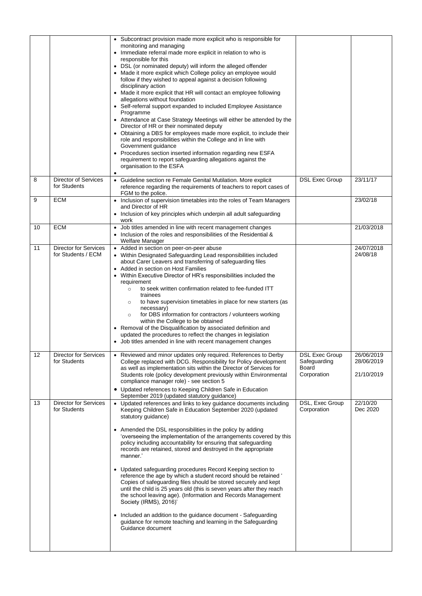|    |                                                    | • Subcontract provision made more explicit who is responsible for<br>monitoring and managing<br>• Immediate referral made more explicit in relation to who is<br>responsible for this<br>• DSL (or nominated deputy) will inform the alleged offender<br>• Made it more explicit which College policy an employee would<br>follow if they wished to appeal against a decision following<br>disciplinary action<br>• Made it more explicit that HR will contact an employee following<br>allegations without foundation<br>• Self-referral support expanded to included Employee Assistance<br>Programme<br>• Attendance at Case Strategy Meetings will either be attended by the<br>Director of HR or their nominated deputy<br>• Obtaining a DBS for employees made more explicit, to include their<br>role and responsibilities within the College and in line with<br>Government guidance<br>• Procedures section inserted information regarding new ESFA<br>requirement to report safeguarding allegations against the<br>organisation to the ESFA |                                                               |                                        |
|----|----------------------------------------------------|--------------------------------------------------------------------------------------------------------------------------------------------------------------------------------------------------------------------------------------------------------------------------------------------------------------------------------------------------------------------------------------------------------------------------------------------------------------------------------------------------------------------------------------------------------------------------------------------------------------------------------------------------------------------------------------------------------------------------------------------------------------------------------------------------------------------------------------------------------------------------------------------------------------------------------------------------------------------------------------------------------------------------------------------------------|---------------------------------------------------------------|----------------------------------------|
| 8  | <b>Director of Services</b><br>for Students        | • Guideline section re Female Genital Mutilation. More explicit<br>reference regarding the requirements of teachers to report cases of<br>FGM to the police.                                                                                                                                                                                                                                                                                                                                                                                                                                                                                                                                                                                                                                                                                                                                                                                                                                                                                           | <b>DSL Exec Group</b>                                         | 23/11/17                               |
| 9  | <b>ECM</b>                                         | • Inclusion of supervision timetables into the roles of Team Managers<br>and Director of HR<br>• Inclusion of key principles which underpin all adult safeguarding<br>work                                                                                                                                                                                                                                                                                                                                                                                                                                                                                                                                                                                                                                                                                                                                                                                                                                                                             |                                                               | 23/02/18                               |
| 10 | <b>ECM</b>                                         | • Job titles amended in line with recent management changes<br>• Inclusion of the roles and responsibilities of the Residential &<br>Welfare Manager                                                                                                                                                                                                                                                                                                                                                                                                                                                                                                                                                                                                                                                                                                                                                                                                                                                                                                   |                                                               | 21/03/2018                             |
| 11 | <b>Director for Services</b><br>for Students / ECM | • Added in section on peer-on-peer abuse<br>• Within Designated Safeguarding Lead responsibilities included<br>about Carer Leavers and transferring of safeguarding files<br>• Added in section on Host Families<br>Within Executive Director of HR's responsibilities included the<br>requirement<br>to seek written confirmation related to fee-funded ITT<br>$\circ$<br>trainees<br>to have supervision timetables in place for new starters (as<br>$\circ$<br>necessary)<br>for DBS information for contractors / volunteers working<br>$\circ$<br>within the College to be obtained<br>Removal of the Disqualification by associated definition and<br>٠<br>updated the procedures to reflect the changes in legislation<br>• Job titles amended in line with recent management changes                                                                                                                                                                                                                                                           |                                                               | 24/07/2018<br>24/08/18                 |
| 12 | Director for Services<br>for Students              | • Reviewed and minor updates only required. References to Derby<br>College replaced with DCG. Responsibility for Policy development<br>as well as implementation sits within the Director of Services for<br>Students role (policy development previously within Environmental<br>compliance manager role) - see section 5<br>• Updated references to Keeping Children Safe in Education<br>September 2019 (updated statutory guidance)                                                                                                                                                                                                                                                                                                                                                                                                                                                                                                                                                                                                                | <b>DSL Exec Group</b><br>Safeguarding<br>Board<br>Corporation | 26/06/2019<br>28/06/2019<br>21/10/2019 |
| 13 | <b>Director for Services</b><br>for Students       | Updated references and links to key guidance documents including<br>Keeping Children Safe in Education September 2020 (updated<br>statutory guidance)<br>• Amended the DSL responsibilities in the policy by adding<br>'overseeing the implementation of the arrangements covered by this<br>policy including accountability for ensuring that safeguarding<br>records are retained, stored and destroyed in the appropriate<br>manner.'<br>• Updated safeguarding procedures Record Keeping section to<br>reference the age by which a student record should be retained '<br>Copies of safeguarding files should be stored securely and kept<br>until the child is 25 years old (this is seven years after they reach<br>the school leaving age). (Information and Records Management<br>Society (IRMS), 2016)'<br>• Included an addition to the guidance document - Safeguarding<br>guidance for remote teaching and learning in the Safeguarding<br>Guidance document                                                                              | DSL, Exec Group<br>Corporation                                | 22/10/20<br>Dec 2020                   |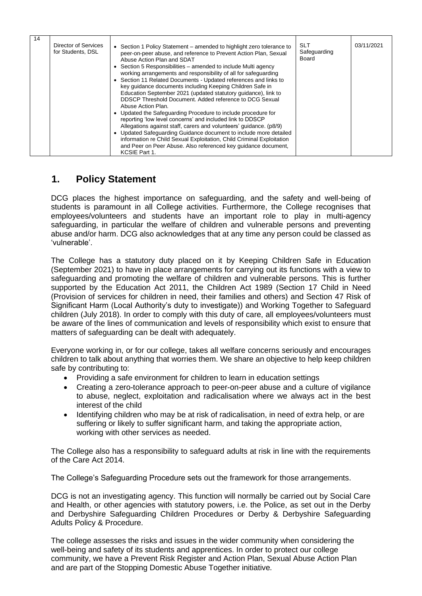| 14 | Director of Services<br>for Students, DSL | • Section 1 Policy Statement – amended to highlight zero tolerance to<br>peer-on-peer abuse, and reference to Prevent Action Plan, Sexual<br>Abuse Action Plan and SDAT<br>• Section 5 Responsibilities – amended to include Multi agency<br>working arrangements and responsibility of all for safeguarding<br>• Section 11 Related Documents - Updated references and links to<br>key quidance documents including Keeping Children Safe in<br>Education September 2021 (updated statutory guidance), link to<br>DDSCP Threshold Document. Added reference to DCG Sexual<br>Abuse Action Plan.<br>• Updated the Safeguarding Procedure to include procedure for<br>reporting 'low level concerns' and included link to DDSCP<br>Allegations against staff, carers and volunteers' guidance. (p8/9)<br>• Updated Safeguarding Guidance document to include more detailed<br>information re Child Sexual Exploitation, Child Criminal Exploitation<br>and Peer on Peer Abuse. Also referenced key quidance document,<br>KCSIE Part 1. | <b>SLT</b><br>Safeguarding<br>Board | 03/11/2021 |
|----|-------------------------------------------|---------------------------------------------------------------------------------------------------------------------------------------------------------------------------------------------------------------------------------------------------------------------------------------------------------------------------------------------------------------------------------------------------------------------------------------------------------------------------------------------------------------------------------------------------------------------------------------------------------------------------------------------------------------------------------------------------------------------------------------------------------------------------------------------------------------------------------------------------------------------------------------------------------------------------------------------------------------------------------------------------------------------------------------|-------------------------------------|------------|
|----|-------------------------------------------|---------------------------------------------------------------------------------------------------------------------------------------------------------------------------------------------------------------------------------------------------------------------------------------------------------------------------------------------------------------------------------------------------------------------------------------------------------------------------------------------------------------------------------------------------------------------------------------------------------------------------------------------------------------------------------------------------------------------------------------------------------------------------------------------------------------------------------------------------------------------------------------------------------------------------------------------------------------------------------------------------------------------------------------|-------------------------------------|------------|

#### **1. Policy Statement**

DCG places the highest importance on safeguarding, and the safety and well-being of students is paramount in all College activities. Furthermore, the College recognises that employees/volunteers and students have an important role to play in multi-agency safeguarding, in particular the welfare of children and vulnerable persons and preventing abuse and/or harm. DCG also acknowledges that at any time any person could be classed as 'vulnerable'.

The College has a statutory duty placed on it by Keeping Children Safe in Education (September 2021) to have in place arrangements for carrying out its functions with a view to safeguarding and promoting the welfare of children and vulnerable persons. This is further supported by the Education Act 2011, the Children Act 1989 (Section 17 Child in Need (Provision of services for children in need, their families and others) and Section 47 Risk of Significant Harm (Local Authority's duty to investigate)) and Working Together to Safeguard children (July 2018). In order to comply with this duty of care, all employees/volunteers must be aware of the lines of communication and levels of responsibility which exist to ensure that matters of safeguarding can be dealt with adequately.

Everyone working in, or for our college, takes all welfare concerns seriously and encourages children to talk about anything that worries them. We share an objective to help keep children safe by contributing to:

- Providing a safe environment for children to learn in education settings
- Creating a zero-tolerance approach to peer-on-peer abuse and a culture of vigilance to abuse, neglect, exploitation and radicalisation where we always act in the best interest of the child
- Identifying children who may be at risk of radicalisation, in need of extra help, or are suffering or likely to suffer significant harm, and taking the appropriate action, working with other services as needed.

The College also has a responsibility to safeguard adults at risk in line with the requirements of the Care Act 2014.

The College's Safeguarding Procedure sets out the framework for those arrangements.

DCG is not an investigating agency. This function will normally be carried out by Social Care and Health, or other agencies with statutory powers, i.e. the Police, as set out in the Derby and Derbyshire Safeguarding Children Procedures or Derby & Derbyshire Safeguarding Adults Policy & Procedure.

The college assesses the risks and issues in the wider community when considering the well-being and safety of its students and apprentices. In order to protect our college community, we have a Prevent Risk Register and Action Plan, Sexual Abuse Action Plan and are part of the Stopping Domestic Abuse Together initiative*.*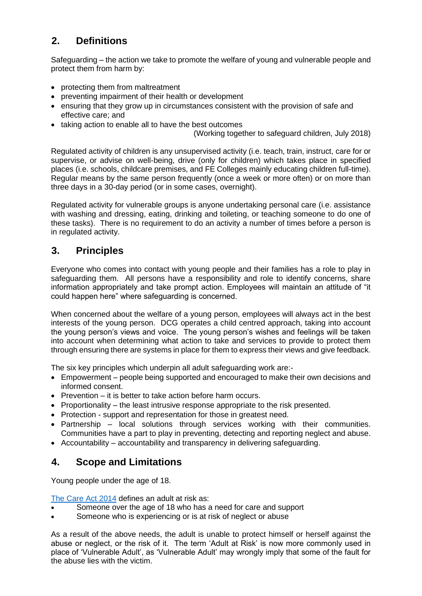# **2. Definitions**

Safeguarding – the action we take to promote the welfare of young and vulnerable people and protect them from harm by:

- protecting them from maltreatment
- preventing impairment of their health or development
- ensuring that they grow up in circumstances consistent with the provision of safe and effective care; and
- taking action to enable all to have the best outcomes

(Working together to safeguard children, July 2018)

Regulated activity of children is any unsupervised activity (i.e. teach, train, instruct, care for or supervise, or advise on well-being, drive (only for children) which takes place in specified places (i.e. schools, childcare premises, and FE Colleges mainly educating children full-time). Regular means by the same person frequently (once a week or more often) or on more than three days in a 30-day period (or in some cases, overnight).

Regulated activity for vulnerable groups is anyone undertaking personal care (i.e. assistance with washing and dressing, eating, drinking and toileting, or teaching someone to do one of these tasks). There is no requirement to do an activity a number of times before a person is in regulated activity.

# **3. Principles**

Everyone who comes into contact with young people and their families has a role to play in safeguarding them. All persons have a responsibility and role to identify concerns, share information appropriately and take prompt action. Employees will maintain an attitude of "it could happen here" where safeguarding is concerned.

When concerned about the welfare of a young person, employees will always act in the best interests of the young person. DCG operates a child centred approach, taking into account the young person's views and voice. The young person's wishes and feelings will be taken into account when determining what action to take and services to provide to protect them through ensuring there are systems in place for them to express their views and give feedback.

The six key principles which underpin all adult safeguarding work are:-

- Empowerment people being supported and encouraged to make their own decisions and informed consent.
- Prevention it is better to take action before harm occurs.
- Proportionality the least intrusive response appropriate to the risk presented.
- Protection support and representation for those in greatest need.
- Partnership local solutions through services working with their communities. Communities have a part to play in preventing, detecting and reporting neglect and abuse.
- Accountability accountability and transparency in delivering safeguarding.

## **4. Scope and Limitations**

Young people under the age of 18.

[The Care Act 2014](http://www.legislation.gov.uk/ukpga/2014/23/contents/enacted) defines an adult at risk as:

- Someone over the age of 18 who has a need for care and support
- Someone who is experiencing or is at risk of neglect or abuse

As a result of the above needs, the adult is unable to protect himself or herself against the abuse or neglect, or the risk of it. The term 'Adult at Risk' is now more commonly used in place of 'Vulnerable Adult', as 'Vulnerable Adult' may wrongly imply that some of the fault for the abuse lies with the victim.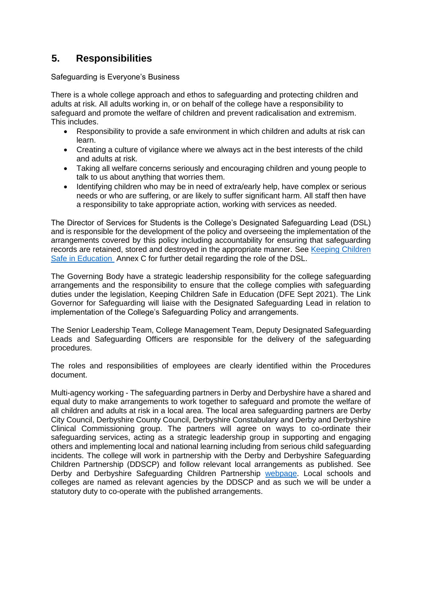## **5. Responsibilities**

Safeguarding is Everyone's Business

There is a whole college approach and ethos to safeguarding and protecting children and adults at risk. All adults working in, or on behalf of the college have a responsibility to safeguard and promote the welfare of children and prevent radicalisation and extremism. This includes.

- Responsibility to provide a safe environment in which children and adults at risk can learn.
- Creating a culture of vigilance where we always act in the best interests of the child and adults at risk.
- Taking all welfare concerns seriously and encouraging children and young people to talk to us about anything that worries them.
- Identifying children who may be in need of extra/early help, have complex or serious needs or who are suffering, or are likely to suffer significant harm. All staff then have a responsibility to take appropriate action, working with services as needed.

The Director of Services for Students is the College's Designated Safeguarding Lead (DSL) and is responsible for the development of the policy and overseeing the implementation of the arrangements covered by this policy including accountability for ensuring that safeguarding records are retained, stored and destroyed in the appropriate manner. See [Keeping Children](https://www.gov.uk/government/publications/keeping-children-safe-in-education--2)  [Safe in Education](https://www.gov.uk/government/publications/keeping-children-safe-in-education--2) Annex C for further detail regarding the role of the DSL.

The Governing Body have a strategic leadership responsibility for the college safeguarding arrangements and the responsibility to ensure that the college complies with safeguarding duties under the legislation, Keeping Children Safe in Education (DFE Sept 2021). The Link Governor for Safeguarding will liaise with the Designated Safeguarding Lead in relation to implementation of the College's Safeguarding Policy and arrangements.

The Senior Leadership Team, College Management Team, Deputy Designated Safeguarding Leads and Safeguarding Officers are responsible for the delivery of the safeguarding procedures.

The roles and responsibilities of employees are clearly identified within the Procedures document.

Multi-agency working - The safeguarding partners in Derby and Derbyshire have a shared and equal duty to make arrangements to work together to safeguard and promote the welfare of all children and adults at risk in a local area. The local area safeguarding partners are Derby City Council, Derbyshire County Council, Derbyshire Constabulary and Derby and Derbyshire Clinical Commissioning group. The partners will agree on ways to co-ordinate their safeguarding services, acting as a strategic leadership group in supporting and engaging others and implementing local and national learning including from serious child safeguarding incidents. The college will work in partnership with the Derby and Derbyshire Safeguarding Children Partnership (DDSCP) and follow relevant local arrangements as published. See Derby and Derbyshire Safeguarding Children Partnership [webpage.](https://www.ddscp.org.uk/about-ddscp/) Local schools and colleges are named as relevant agencies by the DDSCP and as such we will be under a statutory duty to co-operate with the published arrangements.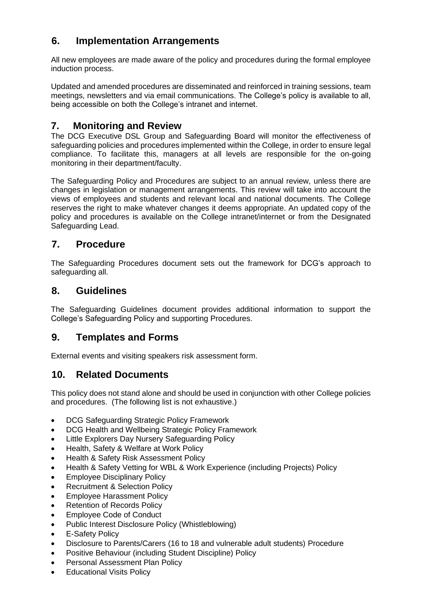# **6. Implementation Arrangements**

All new employees are made aware of the policy and procedures during the formal employee induction process.

Updated and amended procedures are disseminated and reinforced in training sessions, team meetings, newsletters and via email communications. The College's policy is available to all, being accessible on both the College's intranet and internet.

#### **7. Monitoring and Review**

The DCG Executive DSL Group and Safeguarding Board will monitor the effectiveness of safeguarding policies and procedures implemented within the College, in order to ensure legal compliance. To facilitate this, managers at all levels are responsible for the on-going monitoring in their department/faculty.

The Safeguarding Policy and Procedures are subject to an annual review, unless there are changes in legislation or management arrangements. This review will take into account the views of employees and students and relevant local and national documents. The College reserves the right to make whatever changes it deems appropriate. An updated copy of the policy and procedures is available on the College intranet/internet or from the Designated Safeguarding Lead.

#### **7. Procedure**

The Safeguarding Procedures document sets out the framework for DCG's approach to safeguarding all.

#### **8. Guidelines**

The Safeguarding Guidelines document provides additional information to support the College's Safeguarding Policy and supporting Procedures.

#### **9. Templates and Forms**

External events and visiting speakers risk assessment form.

#### **10. Related Documents**

This policy does not stand alone and should be used in conjunction with other College policies and procedures. (The following list is not exhaustive.)

- DCG Safeguarding Strategic Policy Framework
- DCG Health and Wellbeing Strategic Policy Framework
- Little Explorers Day Nursery Safeguarding Policy
- Health, Safety & Welfare at Work Policy
- Health & Safety Risk Assessment Policy
- Health & Safety Vetting for WBL & Work Experience (including Projects) Policy
- Employee Disciplinary Policy
- Recruitment & Selection Policy
- Employee Harassment Policy
- Retention of Records Policy
- Employee Code of Conduct
- Public Interest Disclosure Policy (Whistleblowing)
- **E-Safety Policy**
- Disclosure to Parents/Carers (16 to 18 and vulnerable adult students) Procedure
- Positive Behaviour (including Student Discipline) Policy
- Personal Assessment Plan Policy
- **Educational Visits Policy**